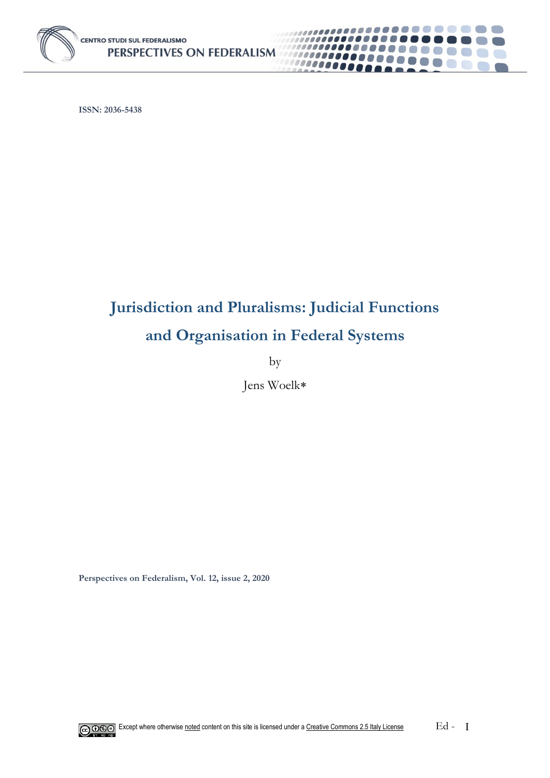

**ISSN: 2036-5438**

## **Jurisdiction and Pluralisms: Judicial Functions and Organisation in Federal Systems**

*<u>......</u>* 

,,,,,,,,, 10000000

by

Jens Woelk

**Perspectives on Federalism, Vol. 12, issue 2, 2020**

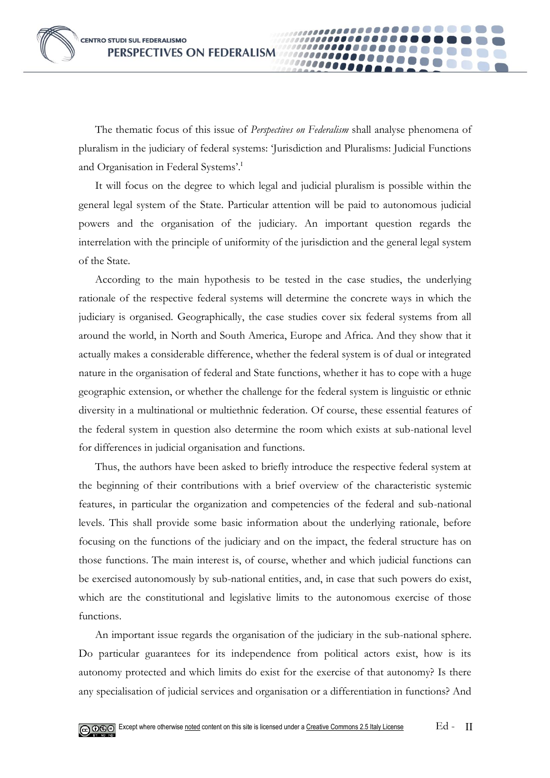The thematic focus of this issue of *Perspectives on Federalism* shall analyse phenomena of pluralism in the judiciary of federal systems: 'Jurisdiction and Pluralisms: Judicial Functions and Organisation in Federal Systems'.<sup>I</sup>

0000

It will focus on the degree to which legal and judicial pluralism is possible within the general legal system of the State. Particular attention will be paid to autonomous judicial powers and the organisation of the judiciary. An important question regards the interrelation with the principle of uniformity of the jurisdiction and the general legal system of the State.

According to the main hypothesis to be tested in the case studies, the underlying rationale of the respective federal systems will determine the concrete ways in which the judiciary is organised. Geographically, the case studies cover six federal systems from all around the world, in North and South America, Europe and Africa. And they show that it actually makes a considerable difference, whether the federal system is of dual or integrated nature in the organisation of federal and State functions, whether it has to cope with a huge geographic extension, or whether the challenge for the federal system is linguistic or ethnic diversity in a multinational or multiethnic federation. Of course, these essential features of the federal system in question also determine the room which exists at sub-national level for differences in judicial organisation and functions.

Thus, the authors have been asked to briefly introduce the respective federal system at the beginning of their contributions with a brief overview of the characteristic systemic features, in particular the organization and competencies of the federal and sub-national levels. This shall provide some basic information about the underlying rationale, before focusing on the functions of the judiciary and on the impact, the federal structure has on those functions. The main interest is, of course, whether and which judicial functions can be exercised autonomously by sub-national entities, and, in case that such powers do exist, which are the constitutional and legislative limits to the autonomous exercise of those functions.

An important issue regards the organisation of the judiciary in the sub-national sphere. Do particular guarantees for its independence from political actors exist, how is its autonomy protected and which limits do exist for the exercise of that autonomy? Is there any specialisation of judicial services and organisation or a differentiation in functions? And